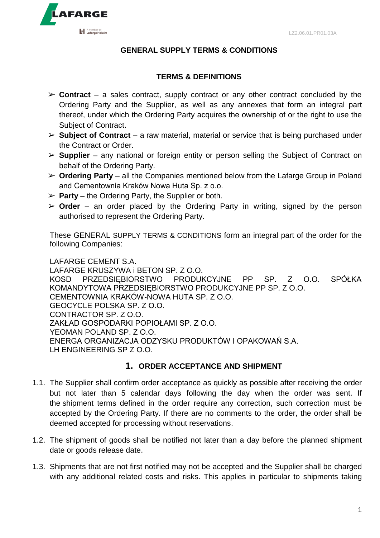

### **GENERAL SUPPLY TERMS & CONDITIONS**

#### **TERMS & DEFINITIONS**

- ➢ **Contract**  a sales contract, supply contract or any other contract concluded by the Ordering Party and the Supplier, as well as any annexes that form an integral part thereof, under which the Ordering Party acquires the ownership of or the right to use the Subject of Contract.
- ➢ **Subject of Contract** a raw material, material or service that is being purchased under the Contract or Order.
- ➢ **Supplier**  any national or foreign entity or person selling the Subject of Contract on behalf of the Ordering Party.
- ➢ **Ordering Party**  all the Companies mentioned below from the Lafarge Group in Poland and Cementownia Kraków Nowa Huta Sp. z o.o.
- $\triangleright$  **Party** the Ordering Party, the Supplier or both.
- ➢ **Order**  an order placed by the Ordering Party in writing, signed by the person authorised to represent the Ordering Party.

These GENERAL SUPPLY TERMS & CONDITIONS form an integral part of the order for the following Companies:

LAFARGE CEMENT S.A. LAFARGE KRUSZYWA i BETON SP. Z O.O. KOSD PRZEDSIĘBIORSTWO PRODUKCYJNE PP SP. Z O.O. SPÓŁKA KOMANDYTOWA PRZEDSIĘBIORSTWO PRODUKCYJNE PP SP. Z O.O. CEMENTOWNIA KRAKÓW-NOWA HUTA SP. Z O.O. GEOCYCLE POLSKA SP. Z O.O. CONTRACTOR SP. Z O.O. ZAKŁAD GOSPODARKI POPIOŁAMI SP. Z O.O. YEOMAN POLAND SP. Z O.O. ENERGA ORGANIZACJA ODZYSKU PRODUKTÓW I OPAKOWAŃ S.A. LH ENGINEERING SP Z O.O.

#### **1. ORDER ACCEPTANCE AND SHIPMENT**

- 1.1. The Supplier shall confirm order acceptance as quickly as possible after receiving the order but not later than 5 calendar days following the day when the order was sent. If the shipment terms defined in the order require any correction, such correction must be accepted by the Ordering Party. If there are no comments to the order, the order shall be deemed accepted for processing without reservations.
- 1.2. The shipment of goods shall be notified not later than a day before the planned shipment date or goods release date.
- 1.3. Shipments that are not first notified may not be accepted and the Supplier shall be charged with any additional related costs and risks. This applies in particular to shipments taking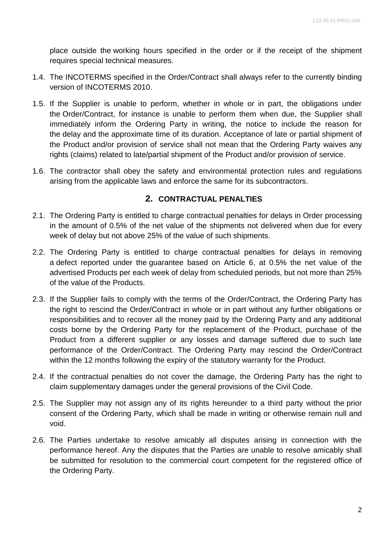place outside the working hours specified in the order or if the receipt of the shipment requires special technical measures.

- 1.4. The INCOTERMS specified in the Order/Contract shall always refer to the currently binding version of INCOTERMS 2010.
- 1.5. If the Supplier is unable to perform, whether in whole or in part, the obligations under the Order/Contract, for instance is unable to perform them when due, the Supplier shall immediately inform the Ordering Party in writing, the notice to include the reason for the delay and the approximate time of its duration. Acceptance of late or partial shipment of the Product and/or provision of service shall not mean that the Ordering Party waives any rights (claims) related to late/partial shipment of the Product and/or provision of service.
- 1.6. The contractor shall obey the safety and environmental protection rules and regulations arising from the applicable laws and enforce the same for its subcontractors.

## **2. CONTRACTUAL PENALTIES**

- 2.1. The Ordering Party is entitled to charge contractual penalties for delays in Order processing in the amount of 0.5% of the net value of the shipments not delivered when due for every week of delay but not above 25% of the value of such shipments.
- 2.2. The Ordering Party is entitled to charge contractual penalties for delays in removing a defect reported under the guarantee based on Article 6, at 0.5% the net value of the advertised Products per each week of delay from scheduled periods, but not more than 25% of the value of the Products.
- 2.3. If the Supplier fails to comply with the terms of the Order/Contract, the Ordering Party has the right to rescind the Order/Contract in whole or in part without any further obligations or responsibilities and to recover all the money paid by the Ordering Party and any additional costs borne by the Ordering Party for the replacement of the Product, purchase of the Product from a different supplier or any losses and damage suffered due to such late performance of the Order/Contract. The Ordering Party may rescind the Order/Contract within the 12 months following the expiry of the statutory warranty for the Product.
- 2.4. If the contractual penalties do not cover the damage, the Ordering Party has the right to claim supplementary damages under the general provisions of the Civil Code.
- 2.5. The Supplier may not assign any of its rights hereunder to a third party without the prior consent of the Ordering Party, which shall be made in writing or otherwise remain null and void.
- 2.6. The Parties undertake to resolve amicably all disputes arising in connection with the performance hereof. Any the disputes that the Parties are unable to resolve amicably shall be submitted for resolution to the commercial court competent for the registered office of the Ordering Party.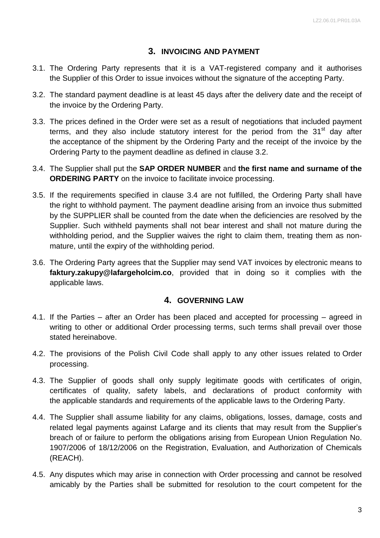## **3. INVOICING AND PAYMENT**

- 3.1. The Ordering Party represents that it is a VAT-registered company and it authorises the Supplier of this Order to issue invoices without the signature of the accepting Party.
- 3.2. The standard payment deadline is at least 45 days after the delivery date and the receipt of the invoice by the Ordering Party.
- 3.3. The prices defined in the Order were set as a result of negotiations that included payment terms, and they also include statutory interest for the period from the  $31<sup>st</sup>$  day after the acceptance of the shipment by the Ordering Party and the receipt of the invoice by the Ordering Party to the payment deadline as defined in clause 3.2.
- 3.4. The Supplier shall put the **SAP ORDER NUMBER** and **the first name and surname of the ORDERING PARTY** on the invoice to facilitate invoice processing.
- 3.5. If the requirements specified in clause 3.4 are not fulfilled, the Ordering Party shall have the right to withhold payment. The payment deadline arising from an invoice thus submitted by the SUPPLIER shall be counted from the date when the deficiencies are resolved by the Supplier. Such withheld payments shall not bear interest and shall not mature during the withholding period, and the Supplier waives the right to claim them, treating them as nonmature, until the expiry of the withholding period.
- 3.6. The Ordering Party agrees that the Supplier may send VAT invoices by electronic means to **[faktury.zakupy@lafargeholcim.co](mailto:faktury.zakupy@lafargeholcim.co)**, provided that in doing so it complies with the applicable laws.

#### **4. GOVERNING LAW**

- 4.1. If the Parties after an Order has been placed and accepted for processing agreed in writing to other or additional Order processing terms, such terms shall prevail over those stated hereinabove.
- 4.2. The provisions of the Polish Civil Code shall apply to any other issues related to Order processing.
- 4.3. The Supplier of goods shall only supply legitimate goods with certificates of origin, certificates of quality, safety labels, and declarations of product conformity with the applicable standards and requirements of the applicable laws to the Ordering Party.
- 4.4. The Supplier shall assume liability for any claims, obligations, losses, damage, costs and related legal payments against Lafarge and its clients that may result from the Supplier's breach of or failure to perform the obligations arising from European Union Regulation No. 1907/2006 of 18/12/2006 on the Registration, Evaluation, and Authorization of Chemicals (REACH).
- 4.5. Any disputes which may arise in connection with Order processing and cannot be resolved amicably by the Parties shall be submitted for resolution to the court competent for the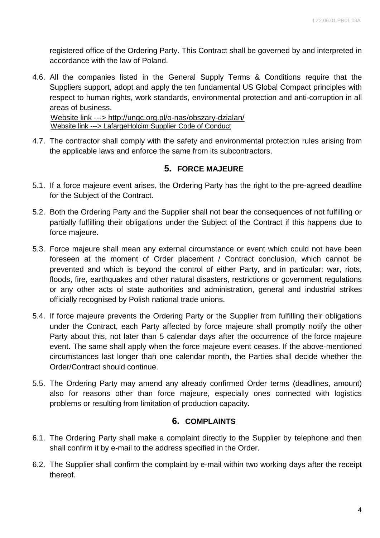registered office of the Ordering Party. This Contract shall be governed by and interpreted in accordance with the law of Poland.

4.6. All the companies listed in the General Supply Terms & Conditions require that the Suppliers support, adopt and apply the ten fundamental US Global Compact principles with respect to human rights, work standards, environmental protection and anti-corruption in all areas of business.

[Website link ---> http://ungc.org.pl/o-nas/obszary-dzialan/](file:///C:/Users/Anna%20Setlak/AppData/Local/Temp/Website%20link%20---%3e%20http:/ungc.org.pl/o-nas/obszary-dzialan/) Website link ---> LafargeHolcim Supplier Code of Conduct

4.7. The contractor shall comply with the safety and environmental protection rules arising from the applicable laws and enforce the same from its subcontractors.

## **5. FORCE MAJEURE**

- 5.1. If a force majeure event arises, the Ordering Party has the right to the pre-agreed deadline for the Subject of the Contract.
- 5.2. Both the Ordering Party and the Supplier shall not bear the consequences of not fulfilling or partially fulfilling their obligations under the Subject of the Contract if this happens due to force majeure.
- 5.3. Force majeure shall mean any external circumstance or event which could not have been foreseen at the moment of Order placement / Contract conclusion, which cannot be prevented and which is beyond the control of either Party, and in particular: war, riots, floods, fire, earthquakes and other natural disasters, restrictions or government regulations or any other acts of state authorities and administration, general and industrial strikes officially recognised by Polish national trade unions.
- 5.4. If force majeure prevents the Ordering Party or the Supplier from fulfilling their obligations under the Contract, each Party affected by force majeure shall promptly notify the other Party about this, not later than 5 calendar days after the occurrence of the force majeure event. The same shall apply when the force majeure event ceases. If the above-mentioned circumstances last longer than one calendar month, the Parties shall decide whether the Order/Contract should continue.
- 5.5. The Ordering Party may amend any already confirmed Order terms (deadlines, amount) also for reasons other than force majeure, especially ones connected with logistics problems or resulting from limitation of production capacity.

# **6. COMPLAINTS**

- 6.1. The Ordering Party shall make a complaint directly to the Supplier by telephone and then shall confirm it by e-mail to the address specified in the Order.
- 6.2. The Supplier shall confirm the complaint by e-mail within two working days after the receipt thereof.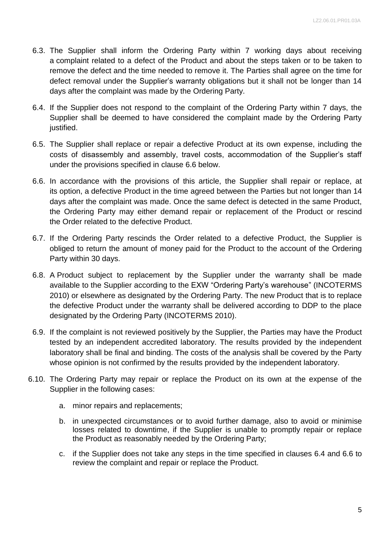- 6.3. The Supplier shall inform the Ordering Party within 7 working days about receiving a complaint related to a defect of the Product and about the steps taken or to be taken to remove the defect and the time needed to remove it. The Parties shall agree on the time for defect removal under the Supplier's warranty obligations but it shall not be longer than 14 days after the complaint was made by the Ordering Party.
- 6.4. If the Supplier does not respond to the complaint of the Ordering Party within 7 days, the Supplier shall be deemed to have considered the complaint made by the Ordering Party justified.
- 6.5. The Supplier shall replace or repair a defective Product at its own expense, including the costs of disassembly and assembly, travel costs, accommodation of the Supplier's staff under the provisions specified in clause 6.6 below.
- 6.6. In accordance with the provisions of this article, the Supplier shall repair or replace, at its option, a defective Product in the time agreed between the Parties but not longer than 14 days after the complaint was made. Once the same defect is detected in the same Product, the Ordering Party may either demand repair or replacement of the Product or rescind the Order related to the defective Product.
- 6.7. If the Ordering Party rescinds the Order related to a defective Product, the Supplier is obliged to return the amount of money paid for the Product to the account of the Ordering Party within 30 days.
- 6.8. A Product subject to replacement by the Supplier under the warranty shall be made available to the Supplier according to the EXW "Ordering Party's warehouse" (INCOTERMS 2010) or elsewhere as designated by the Ordering Party. The new Product that is to replace the defective Product under the warranty shall be delivered according to DDP to the place designated by the Ordering Party (INCOTERMS 2010).
- 6.9. If the complaint is not reviewed positively by the Supplier, the Parties may have the Product tested by an independent accredited laboratory. The results provided by the independent laboratory shall be final and binding. The costs of the analysis shall be covered by the Party whose opinion is not confirmed by the results provided by the independent laboratory.
- 6.10. The Ordering Party may repair or replace the Product on its own at the expense of the Supplier in the following cases:
	- a. minor repairs and replacements;
	- b. in unexpected circumstances or to avoid further damage, also to avoid or minimise losses related to downtime, if the Supplier is unable to promptly repair or replace the Product as reasonably needed by the Ordering Party;
	- c. if the Supplier does not take any steps in the time specified in clauses 6.4 and 6.6 to review the complaint and repair or replace the Product.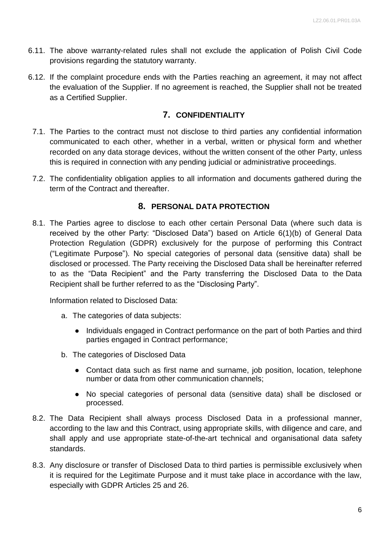- 6.11. The above warranty-related rules shall not exclude the application of Polish Civil Code provisions regarding the statutory warranty.
- 6.12. If the complaint procedure ends with the Parties reaching an agreement, it may not affect the evaluation of the Supplier. If no agreement is reached, the Supplier shall not be treated as a Certified Supplier.

## **7. CONFIDENTIALITY**

- 7.1. The Parties to the contract must not disclose to third parties any confidential information communicated to each other, whether in a verbal, written or physical form and whether recorded on any data storage devices, without the written consent of the other Party, unless this is required in connection with any pending judicial or administrative proceedings.
- 7.2. The confidentiality obligation applies to all information and documents gathered during the term of the Contract and thereafter.

#### **8. PERSONAL DATA PROTECTION**

8.1. The Parties agree to disclose to each other certain Personal Data (where such data is received by the other Party: "Disclosed Data") based on Article 6(1)(b) of General Data Protection Regulation (GDPR) exclusively for the purpose of performing this Contract ("Legitimate Purpose"). No special categories of personal data (sensitive data) shall be disclosed or processed. The Party receiving the Disclosed Data shall be hereinafter referred to as the "Data Recipient" and the Party transferring the Disclosed Data to the Data Recipient shall be further referred to as the "Disclosing Party".

Information related to Disclosed Data:

- a. The categories of data subjects:
	- Individuals engaged in Contract performance on the part of both Parties and third parties engaged in Contract performance;
- b. The categories of Disclosed Data
	- Contact data such as first name and surname, job position, location, telephone number or data from other communication channels;
	- No special categories of personal data (sensitive data) shall be disclosed or processed.
- 8.2. The Data Recipient shall always process Disclosed Data in a professional manner, according to the law and this Contract, using appropriate skills, with diligence and care, and shall apply and use appropriate state-of-the-art technical and organisational data safety standards.
- 8.3. Any disclosure or transfer of Disclosed Data to third parties is permissible exclusively when it is required for the Legitimate Purpose and it must take place in accordance with the law, especially with GDPR Articles 25 and 26.